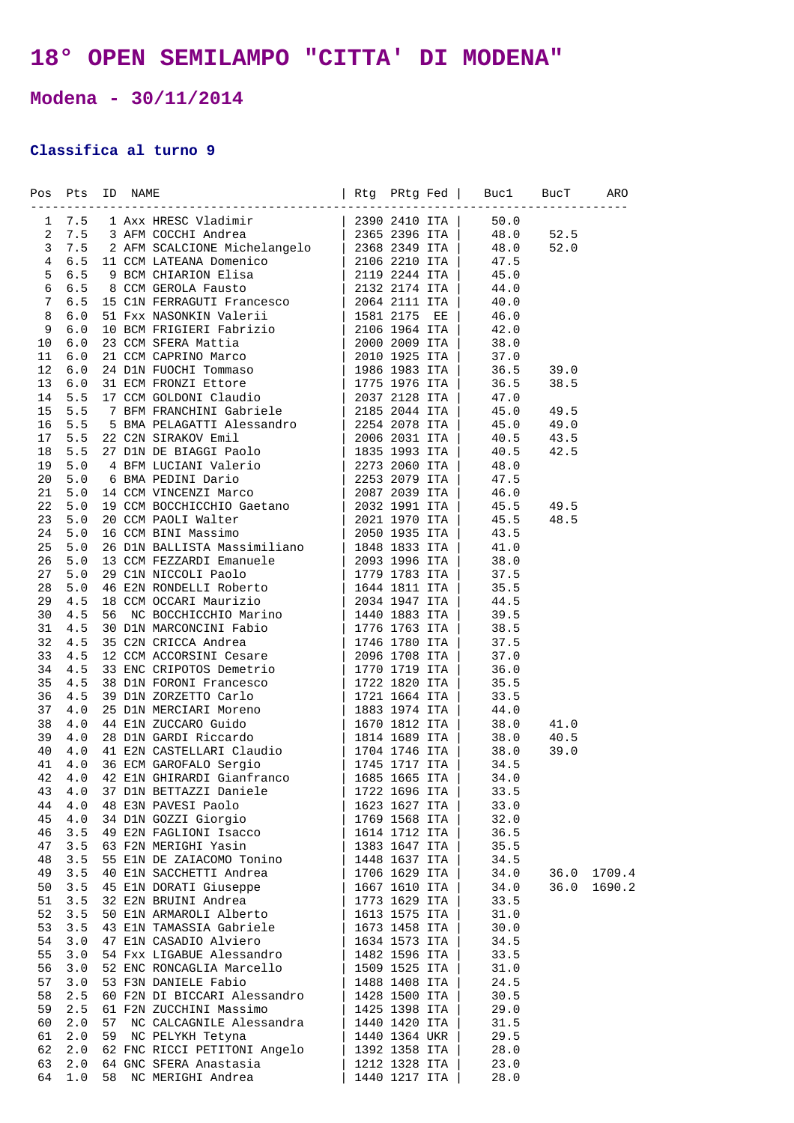## **18° OPEN SEMILAMPO "CITTA' DI MODENA"**

**Modena - 30/11/2014** 

## **Classifica al turno 9**

|    | Pos Pts ID NAME |    |                              |               |      |      |        |
|----|-----------------|----|------------------------------|---------------|------|------|--------|
|    |                 |    |                              |               |      |      |        |
|    |                 |    |                              |               |      |      |        |
|    |                 |    |                              |               |      |      |        |
|    |                 |    |                              |               |      |      |        |
|    |                 |    |                              |               |      |      |        |
|    |                 |    |                              |               |      |      |        |
|    |                 |    |                              |               |      |      |        |
|    |                 |    |                              |               |      |      |        |
|    |                 |    |                              |               |      |      |        |
|    |                 |    |                              |               |      |      |        |
|    |                 |    |                              |               |      |      |        |
|    |                 |    |                              |               |      |      |        |
|    |                 |    |                              |               |      |      |        |
|    |                 |    |                              |               |      |      |        |
|    |                 |    |                              |               |      |      |        |
|    |                 |    |                              |               |      |      |        |
|    |                 |    |                              |               |      |      |        |
|    |                 |    |                              |               |      |      |        |
|    |                 |    |                              |               |      |      |        |
|    |                 |    |                              |               |      |      |        |
|    |                 |    |                              |               |      |      |        |
|    |                 |    |                              |               |      |      |        |
|    |                 |    |                              |               |      |      |        |
|    |                 |    |                              |               |      |      |        |
|    |                 |    |                              |               |      |      |        |
|    |                 |    |                              |               |      |      |        |
|    |                 |    |                              |               |      |      |        |
|    |                 |    |                              |               |      |      |        |
|    |                 |    |                              |               |      |      |        |
|    |                 |    |                              |               |      |      |        |
|    |                 |    |                              |               |      |      |        |
|    |                 |    |                              |               |      |      |        |
|    |                 |    |                              |               |      |      |        |
|    |                 |    |                              |               |      |      |        |
|    |                 |    |                              |               |      |      |        |
|    |                 |    |                              |               |      |      |        |
|    |                 |    |                              |               |      |      |        |
|    |                 |    |                              |               |      |      |        |
|    |                 |    |                              |               |      |      |        |
|    |                 |    |                              |               |      |      |        |
|    |                 |    |                              |               |      |      |        |
|    |                 |    |                              |               |      |      |        |
| 43 | 4.0             |    | 37 D1N BETTAZZI Daniele      | 1722 1696 ITA | 33.5 |      |        |
| 44 | 4.0             |    | 48 E3N PAVESI Paolo          | 1623 1627 ITA | 33.0 |      |        |
| 45 | 4.0             |    | 34 D1N GOZZI Giorgio         | 1769 1568 ITA | 32.0 |      |        |
| 46 | 3.5             |    | 49 E2N FAGLIONI Isacco       | 1614 1712 ITA | 36.5 |      |        |
| 47 | 3.5             |    | 63 F2N MERIGHI Yasin         | 1383 1647 ITA | 35.5 |      |        |
| 48 | 3.5             |    | 55 E1N DE ZAIACOMO Tonino    | 1448 1637 ITA | 34.5 |      |        |
| 49 | 3.5             |    | 40 E1N SACCHETTI Andrea      | 1706 1629 ITA | 34.0 | 36.0 | 1709.4 |
| 50 | 3.5             |    | 45 ElN DORATI Giuseppe       | 1667 1610 ITA | 34.0 | 36.0 | 1690.2 |
| 51 | 3.5             |    | 32 E2N BRUINI Andrea         | 1773 1629 ITA | 33.5 |      |        |
| 52 | 3.5             |    | 50 E1N ARMAROLI Alberto      | 1613 1575 ITA | 31.0 |      |        |
| 53 | 3.5             |    | 43 E1N TAMASSIA Gabriele     | 1673 1458 ITA | 30.0 |      |        |
| 54 | 3.0             |    | 47 E1N CASADIO Alviero       | 1634 1573 ITA | 34.5 |      |        |
| 55 | 3.0             |    | 54 Fxx LIGABUE Alessandro    | 1482 1596 ITA | 33.5 |      |        |
| 56 | 3.0             |    | 52 ENC RONCAGLIA Marcello    | 1509 1525 ITA | 31.0 |      |        |
| 57 | 3.0             |    | 53 F3N DANIELE Fabio         | 1488 1408 ITA | 24.5 |      |        |
| 58 | 2.5             |    | 60 F2N DI BICCARI Alessandro | 1428 1500 ITA | 30.5 |      |        |
| 59 | 2.5             |    | 61 F2N ZUCCHINI Massimo      | 1425 1398 ITA | 29.0 |      |        |
| 60 | 2.0             | 57 | NC CALCAGNILE Alessandra     | 1440 1420 ITA | 31.5 |      |        |
| 61 | 2.0             | 59 | NC PELYKH Tetyna             | 1440 1364 UKR | 29.5 |      |        |
| 62 | 2.0             |    | 62 FNC RICCI PETITONI Angelo | 1392 1358 ITA | 28.0 |      |        |
| 63 | 2.0             |    | 64 GNC SFERA Anastasia       | 1212 1328 ITA | 23.0 |      |        |
| 64 | 1.0             | 58 | NC MERIGHI Andrea            | 1440 1217 ITA | 28.0 |      |        |